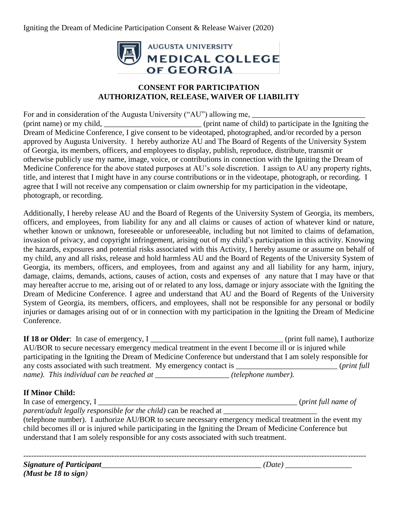Igniting the Dream of Medicine Participation Consent & Release Waiver (2020)



## **CONSENT FOR PARTICIPATION AUTHORIZATION, RELEASE, WAIVER OF LIABILITY**

For and in consideration of the Augusta University ("AU") allowing me, \_\_\_\_\_\_\_\_\_\_\_\_\_\_\_\_\_\_\_\_\_\_\_\_\_\_\_\_\_ (print name) or my child, \_\_\_\_\_\_\_\_\_\_\_\_\_\_\_\_\_\_\_\_\_\_\_\_\_ (print name of child) to participate in the Igniting the Dream of Medicine Conference, I give consent to be videotaped, photographed, and/or recorded by a person approved by Augusta University. I hereby authorize AU and The Board of Regents of the University System of Georgia, its members, officers, and employees to display, publish, reproduce, distribute, transmit or otherwise publicly use my name, image, voice, or contributions in connection with the Igniting the Dream of Medicine Conference for the above stated purposes at AU's sole discretion. I assign to AU any property rights, title, and interest that I might have in any course contributions or in the videotape, photograph, or recording. I agree that I will not receive any compensation or claim ownership for my participation in the videotape, photograph, or recording.

Additionally, I hereby release AU and the Board of Regents of the University System of Georgia, its members, officers, and employees, from liability for any and all claims or causes of action of whatever kind or nature, whether known or unknown, foreseeable or unforeseeable, including but not limited to claims of defamation, invasion of privacy, and copyright infringement, arising out of my child's participation in this activity. Knowing the hazards, exposures and potential risks associated with this Activity, I hereby assume or assume on behalf of my child, any and all risks, release and hold harmless AU and the Board of Regents of the University System of Georgia, its members, officers, and employees, from and against any and all liability for any harm, injury, damage, claims, demands, actions, causes of action, costs and expenses of any nature that I may have or that may hereafter accrue to me, arising out of or related to any loss, damage or injury associate with the Igniting the Dream of Medicine Conference. I agree and understand that AU and the Board of Regents of the University System of Georgia, its members, officers, and employees, shall not be responsible for any personal or bodily injuries or damages arising out of or in connection with my participation in the Igniting the Dream of Medicine Conference.

**If 18 or Older**: In case of emergency, I \_\_\_\_\_\_\_\_\_\_\_\_\_\_\_\_\_\_\_\_\_\_\_\_\_\_\_\_\_\_\_\_\_\_ (print full name), I authorize AU/BOR to secure necessary emergency medical treatment in the event I become ill or is injured while participating in the Igniting the Dream of Medicine Conference but understand that I am solely responsible for any costs associated with such treatment. My emergency contact is \_\_\_\_\_\_\_\_\_\_\_\_\_\_\_\_\_\_\_\_\_\_\_\_\_\_\_ (*print full name). This individual can be reached at \_\_\_\_\_\_\_\_\_\_\_\_\_\_\_\_\_\_\_ (telephone number).*

## **If Minor Child:**

|                                                                                                          | ( <i>print full name of</i> |
|----------------------------------------------------------------------------------------------------------|-----------------------------|
| parent/adult legally responsible for the child) can be reached at                                        |                             |
| (telephone number). I authorize AU/BOR to secure necessary emergency medical treatment in the event my   |                             |
| child becomes ill or is injured while participating in the Igniting the Dream of Medicine Conference but |                             |
| understand that I am solely responsible for any costs associated with such treatment.                    |                             |
|                                                                                                          |                             |

------------------------------------------------------------------------------------------------------------------------------------

*Signature of Participant\_\_\_\_\_\_\_\_\_\_\_\_\_\_\_\_\_\_\_\_\_\_\_\_\_\_\_\_\_\_\_\_\_\_\_\_\_\_\_\_\_ (Date) \_\_\_\_\_\_\_\_\_\_\_\_\_\_\_\_\_ (Must be 18 to sign)*